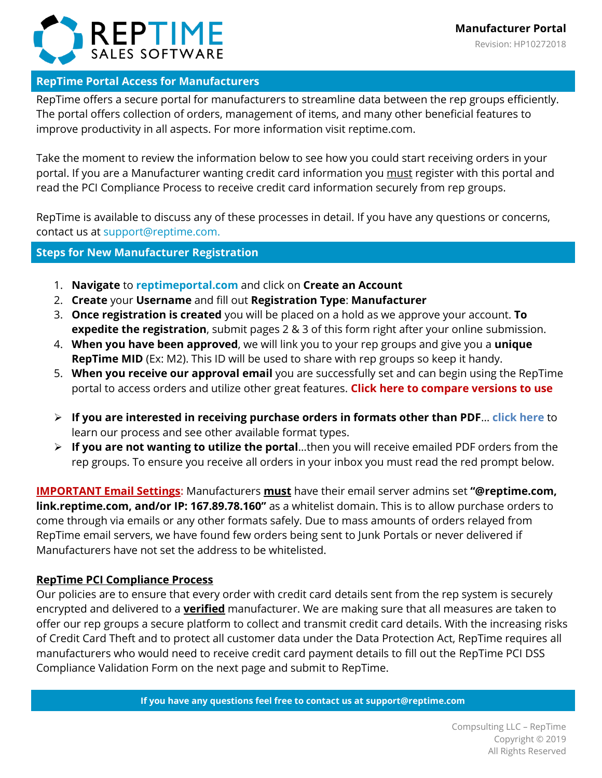

# **RepTime Portal Access for Manufacturers**

RepTime offers a secure portal for manufacturers to streamline data between the rep groups efficiently. The portal offers collection of orders, management of items, and many other beneficial features to improve productivity in all aspects. For more information visit reptime.com.

Take the moment to review the information below to see how you could start receiving orders in your portal. If you are a Manufacturer wanting credit card information you must register with this portal and read the PCI Compliance Process to receive credit card information securely from rep groups.

RepTime is available to discuss any of these processes in detail. If you have any questions or concerns, contact us at [support@reptime.com.](mailto:support@reptime.com)

## **Steps for New Manufacturer Registration**

- 1. **Navigate** to **[reptimeportal.com](https://reptimeportal.com/)** and click on **Create an Account**
- 2. **Create** your **Username** and fill out **Registration Type**: **Manufacturer**
- 3. **Once registration is created** you will be placed on a hold as we approve your account. **To expedite the registration**, submit pages 2 & 3 of this form right after your online submission.
- 4. **When you have been approved**, we will link you to your rep groups and give you a **unique RepTime MID** (Ex: M2). This ID will be used to share with rep groups so keep it handy.
- 5. **When you receive our approval email** you are successfully set and can begin using the RepTime portal to access orders and utilize other great features. **[Click here to compare versions to use](https://reptime.com/manufacturer-pricing-features.html)**
- **If you are interested in receiving purchase orders in formats other than PDF**… **[click here](http://reptime.com/files/Types%20of%20Order%20Formats%20Sent%20to%20Manufacturers.pdf)** to learn our process and see other available format types.
- **If you are not wanting to utilize the portal**…then you will receive emailed PDF orders from the rep groups. To ensure you receive all orders in your inbox you must read the red prompt below.

**IMPORTANT Email Settings:** Manufacturers **must** have their email server admins set **"@reptime.com, link.reptime.com, and/or IP: 167.89.78.160"** as a whitelist domain. This is to allow purchase orders to come through via emails or any other formats safely. Due to mass amounts of orders relayed from RepTime email servers, we have found few orders being sent to Junk Portals or never delivered if Manufacturers have not set the address to be whitelisted.

# **RepTime PCI Compliance Process**

Our policies are to ensure that every order with credit card details sent from the rep system is securely encrypted and delivered to a **verified** manufacturer. We are making sure that all measures are taken to offer our rep groups a secure platform to collect and transmit credit card details. With the increasing risks of Credit Card Theft and to protect all customer data under the Data Protection Act, RepTime requires all manufacturers who would need to receive credit card payment details to fill out the RepTime PCI DSS Compliance Validation Form on the next page and submit to RepTime.

**If you have any questions feel free to contact us at [support@reptime.com](mailto:support@reptime.com)**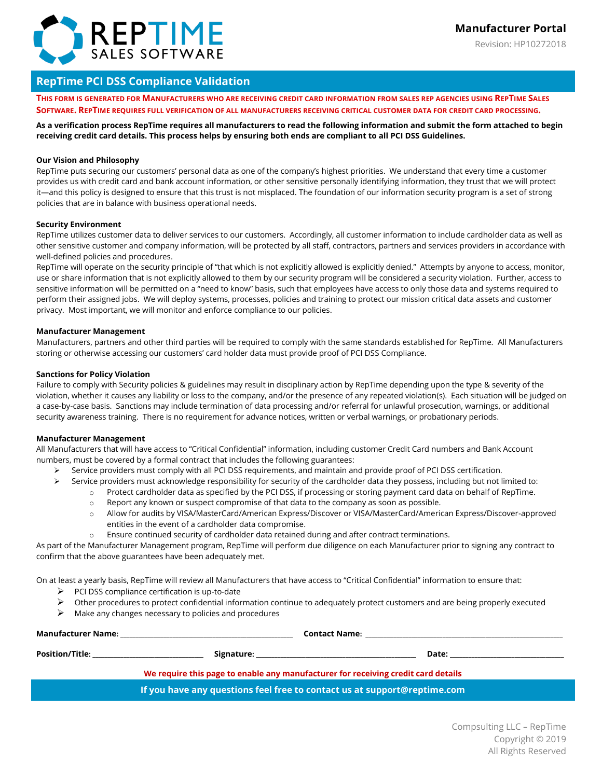

Revision: HP10272018

### **RepTime PCI DSS Compliance Validation**

**THIS FORM IS GENERATED FOR MANUFACTURERS WHO ARE RECEIVING CREDIT CARD INFORMATION FROM SALES REP AGENCIES USING REPTIME SALES SOFTWARE. REPTIME REQUIRES FULL VERIFICATION OF ALL MANUFACTURERS RECEIVING CRITICAL CUSTOMER DATA FOR CREDIT CARD PROCESSING.**

**As a verification process RepTime requires all manufacturers to read the following information and submit the form attached to begin receiving credit card details. This process helps by ensuring both ends are compliant to all PCI DSS Guidelines.** 

#### **Our Vision and Philosophy**

RepTime puts securing our customers' personal data as one of the company's highest priorities. We understand that every time a customer provides us with credit card and bank account information, or other sensitive personally identifying information, they trust that we will protect it—and this policy is designed to ensure that this trust is not misplaced. The foundation of our information security program is a set of strong policies that are in balance with business operational needs.

#### **Security Environment**

RepTime utilizes customer data to deliver services to our customers. Accordingly, all customer information to include cardholder data as well as other sensitive customer and company information, will be protected by all staff, contractors, partners and services providers in accordance with well-defined policies and procedures.

RepTime will operate on the security principle of "that which is not explicitly allowed is explicitly denied." Attempts by anyone to access, monitor, use or share information that is not explicitly allowed to them by our security program will be considered a security violation. Further, access to sensitive information will be permitted on a "need to know" basis, such that employees have access to only those data and systems required to perform their assigned jobs. We will deploy systems, processes, policies and training to protect our mission critical data assets and customer privacy. Most important, we will monitor and enforce compliance to our policies.

#### **Manufacturer Management**

Manufacturers, partners and other third parties will be required to comply with the same standards established for RepTime. All Manufacturers storing or otherwise accessing our customers' card holder data must provide proof of PCI DSS Compliance.

#### **Sanctions for Policy Violation**

Failure to comply with Security policies & guidelines may result in disciplinary action by RepTime depending upon the type & severity of the violation, whether it causes any liability or loss to the company, and/or the presence of any repeated violation(s). Each situation will be judged on a case-by-case basis. Sanctions may include termination of data processing and/or referral for unlawful prosecution, warnings, or additional security awareness training. There is no requirement for advance notices, written or verbal warnings, or probationary periods.

#### **Manufacturer Management**

All Manufacturers that will have access to "Critical Confidential" information, including customer Credit Card numbers and Bank Account numbers, must be covered by a formal contract that includes the following guarantees:

- Service providers must comply with all PCI DSS requirements, and maintain and provide proof of PCI DSS certification.
- $\triangleright$  Service providers must acknowledge responsibility for security of the cardholder data they possess, including but not limited to:
	- o Protect cardholder data as specified by the PCI DSS, if processing or storing payment card data on behalf of RepTime.
	- o Report any known or suspect compromise of that data to the company as soon as possible.
	- o Allow for audits by VISA/MasterCard/American Express/Discover or VISA/MasterCard/American Express/Discover-approved entities in the event of a cardholder data compromise.
	- o Ensure continued security of cardholder data retained during and after contract terminations.

As part of the Manufacturer Management program, RepTime will perform due diligence on each Manufacturer prior to signing any contract to confirm that the above guarantees have been adequately met.

On at least a yearly basis, RepTime will review all Manufacturers that have access to "Critical Confidential" information to ensure that:

- $\triangleright$  PCI DSS compliance certification is up-to-date
- $\triangleright$  Other procedures to protect confidential information continue to adequately protect customers and are being properly executed
- $\triangleright$  Make any changes necessary to policies and procedures

| Manufacturer Name:     | <b>Contact Name:</b>                                                                                           |       |
|------------------------|----------------------------------------------------------------------------------------------------------------|-------|
| <b>Position/Title:</b> | Signature: the contract of the contract of the contract of the contract of the contract of the contract of the | Date: |
|                        | We require this page to enable any manufacturer for receiving credit card details                              |       |
|                        | If you have any questions feel free to contact us at support@reptime.com                                       |       |